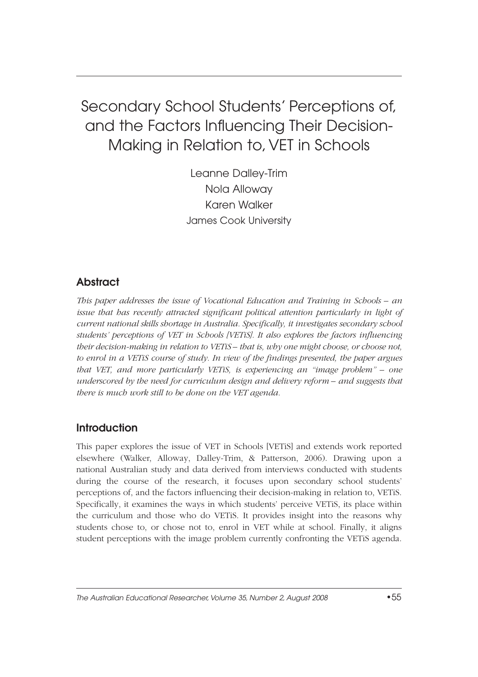# Secondary School Students' Perceptions of, and the Factors Influencing Their Decision-Making in Relation to, VET in Schools

Leanne Dalley-Trim Nola Alloway Karen Walker James Cook University

# Abstract

*This paper addresses the issue of Vocational Education and Training in Schools – an issue that has recently attracted significant political attention particularly in light of current national skills shortage in Australia. Specifically, it investigates secondary school students' perceptions of VET in Schools [VETiS]. It also explores the factors influencing their decision-making in relation to VETiS – that is, why one might choose, or choose not, to enrol in a VETiS course of study. In view of the findings presented, the paper argues that VET, and more particularly VETiS, is experiencing an "image problem" – one underscored by the need for curriculum design and delivery reform – and suggests that there is much work still to be done on the VET agenda.*

### **Introduction**

This paper explores the issue of VET in Schools [VETiS] and extends work reported elsewhere (Walker, Alloway, Dalley-Trim, & Patterson, 2006). Drawing upon a national Australian study and data derived from interviews conducted with students during the course of the research, it focuses upon secondary school students' perceptions of, and the factors influencing their decision-making in relation to, VETiS. Specifically, it examines the ways in which students' perceive VETiS, its place within the curriculum and those who do VETiS. It provides insight into the reasons why students chose to, or chose not to, enrol in VET while at school. Finally, it aligns student perceptions with the image problem currently confronting the VETiS agenda.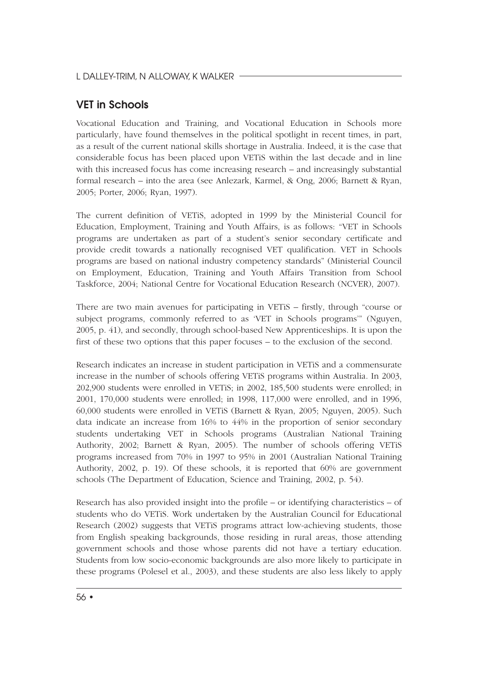## VET in Schools

Vocational Education and Training, and Vocational Education in Schools more particularly, have found themselves in the political spotlight in recent times, in part, as a result of the current national skills shortage in Australia. Indeed, it is the case that considerable focus has been placed upon VETiS within the last decade and in line with this increased focus has come increasing research – and increasingly substantial formal research – into the area (see Anlezark, Karmel, & Ong, 2006; Barnett & Ryan, 2005; Porter, 2006; Ryan, 1997).

The current definition of VETiS, adopted in 1999 by the Ministerial Council for Education, Employment, Training and Youth Affairs, is as follows: "VET in Schools programs are undertaken as part of a student's senior secondary certificate and provide credit towards a nationally recognised VET qualification. VET in Schools programs are based on national industry competency standards" (Ministerial Council on Employment, Education, Training and Youth Affairs Transition from School Taskforce, 2004; National Centre for Vocational Education Research (NCVER), 2007).

There are two main avenues for participating in VETiS – firstly, through "course or subject programs, commonly referred to as 'VET in Schools programs'" (Nguyen, 2005, p. 41), and secondly, through school-based New Apprenticeships. It is upon the first of these two options that this paper focuses – to the exclusion of the second.

Research indicates an increase in student participation in VETiS and a commensurate increase in the number of schools offering VETiS programs within Australia. In 2003, 202,900 students were enrolled in VETiS; in 2002, 185,500 students were enrolled; in 2001, 170,000 students were enrolled; in 1998, 117,000 were enrolled, and in 1996, 60,000 students were enrolled in VETiS (Barnett & Ryan, 2005; Nguyen, 2005). Such data indicate an increase from 16% to 44% in the proportion of senior secondary students undertaking VET in Schools programs (Australian National Training Authority, 2002; Barnett & Ryan, 2005). The number of schools offering VETiS programs increased from 70% in 1997 to 95% in 2001 (Australian National Training Authority, 2002, p. 19). Of these schools, it is reported that 60% are government schools (The Department of Education, Science and Training, 2002, p. 54).

Research has also provided insight into the profile – or identifying characteristics – of students who do VETiS. Work undertaken by the Australian Council for Educational Research (2002) suggests that VETiS programs attract low-achieving students, those from English speaking backgrounds, those residing in rural areas, those attending government schools and those whose parents did not have a tertiary education. Students from low socio-economic backgrounds are also more likely to participate in these programs (Polesel et al., 2003), and these students are also less likely to apply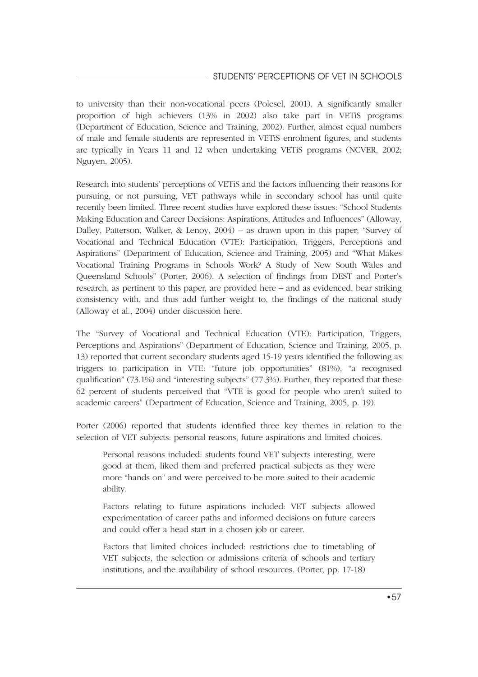to university than their non-vocational peers (Polesel, 2001). A significantly smaller proportion of high achievers (13% in 2002) also take part in VETiS programs (Department of Education, Science and Training, 2002). Further, almost equal numbers of male and female students are represented in VETiS enrolment figures, and students are typically in Years 11 and 12 when undertaking VETiS programs (NCVER, 2002; Nguyen, 2005).

Research into students' perceptions of VETiS and the factors influencing their reasons for pursuing, or not pursuing, VET pathways while in secondary school has until quite recently been limited. Three recent studies have explored these issues: "School Students Making Education and Career Decisions: Aspirations, Attitudes and Influences" (Alloway, Dalley, Patterson, Walker, & Lenoy, 2004) – as drawn upon in this paper; "Survey of Vocational and Technical Education (VTE): Participation, Triggers, Perceptions and Aspirations" (Department of Education, Science and Training, 2005) and "What Makes Vocational Training Programs in Schools Work? A Study of New South Wales and Queensland Schools" (Porter, 2006). A selection of findings from DEST and Porter's research, as pertinent to this paper, are provided here – and as evidenced, bear striking consistency with, and thus add further weight to, the findings of the national study (Alloway et al., 2004) under discussion here.

The "Survey of Vocational and Technical Education (VTE): Participation, Triggers, Perceptions and Aspirations" (Department of Education, Science and Training, 2005, p. 13) reported that current secondary students aged 15-19 years identified the following as triggers to participation in VTE: "future job opportunities" (81%), "a recognised qualification" (73.1%) and "interesting subjects" (77.3%). Further, they reported that these 62 percent of students perceived that "VTE is good for people who aren't suited to academic careers" (Department of Education, Science and Training, 2005, p. 19).

Porter (2006) reported that students identified three key themes in relation to the selection of VET subjects: personal reasons, future aspirations and limited choices.

Personal reasons included: students found VET subjects interesting, were good at them, liked them and preferred practical subjects as they were more "hands on" and were perceived to be more suited to their academic ability.

Factors relating to future aspirations included: VET subjects allowed experimentation of career paths and informed decisions on future careers and could offer a head start in a chosen job or career.

Factors that limited choices included: restrictions due to timetabling of VET subjects, the selection or admissions criteria of schools and tertiary institutions, and the availability of school resources. (Porter, pp. 17-18)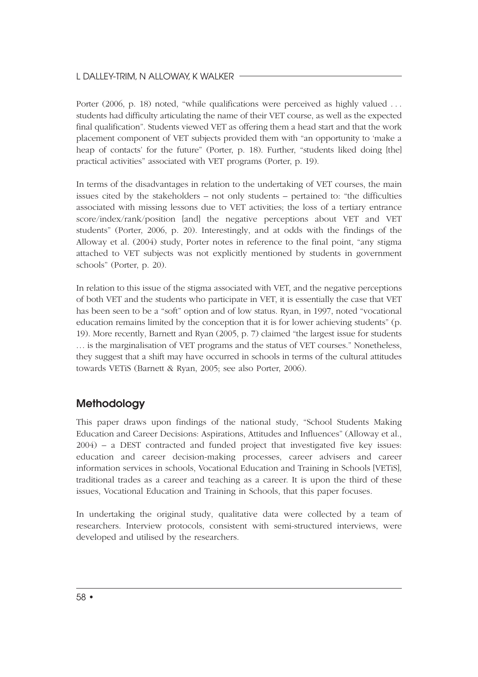Porter (2006, p. 18) noted, "while qualifications were perceived as highly valued . . . students had difficulty articulating the name of their VET course, as well as the expected final qualification". Students viewed VET as offering them a head start and that the work placement component of VET subjects provided them with "an opportunity to 'make a heap of contacts' for the future" (Porter, p. 18). Further, "students liked doing [the] practical activities" associated with VET programs (Porter, p. 19).

In terms of the disadvantages in relation to the undertaking of VET courses, the main issues cited by the stakeholders – not only students – pertained to: "the difficulties associated with missing lessons due to VET activities; the loss of a tertiary entrance score/index/rank/position [and] the negative perceptions about VET and VET students" (Porter, 2006, p. 20). Interestingly, and at odds with the findings of the Alloway et al. (2004) study, Porter notes in reference to the final point, "any stigma attached to VET subjects was not explicitly mentioned by students in government schools" (Porter, p. 20).

In relation to this issue of the stigma associated with VET, and the negative perceptions of both VET and the students who participate in VET, it is essentially the case that VET has been seen to be a "soft" option and of low status. Ryan, in 1997, noted "vocational education remains limited by the conception that it is for lower achieving students" (p. 19). More recently, Barnett and Ryan (2005, p. 7) claimed "the largest issue for students . . . is the marginalisation of VET programs and the status of VET courses." Nonetheless, they suggest that a shift may have occurred in schools in terms of the cultural attitudes towards VETiS (Barnett & Ryan, 2005; see also Porter, 2006).

# **Methodology**

This paper draws upon findings of the national study, "School Students Making Education and Career Decisions: Aspirations, Attitudes and Influences" (Alloway et al., 2004) – a DEST contracted and funded project that investigated five key issues: education and career decision-making processes, career advisers and career information services in schools, Vocational Education and Training in Schools [VETiS], traditional trades as a career and teaching as a career. It is upon the third of these issues, Vocational Education and Training in Schools, that this paper focuses.

In undertaking the original study, qualitative data were collected by a team of researchers. Interview protocols, consistent with semi-structured interviews, were developed and utilised by the researchers.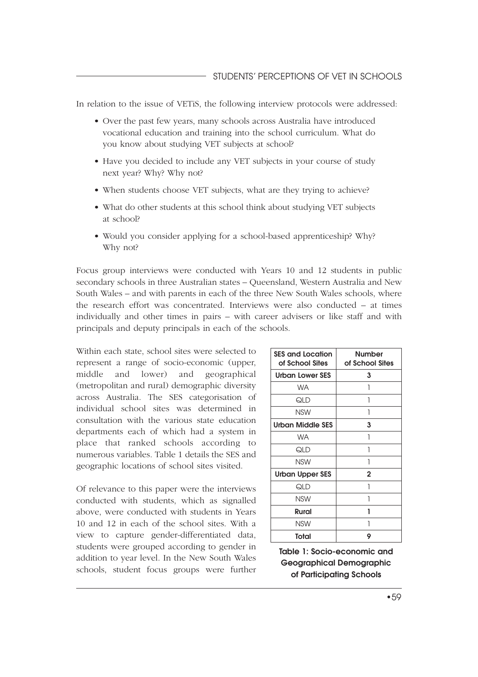In relation to the issue of VETiS, the following interview protocols were addressed:

- Over the past few years, many schools across Australia have introduced vocational education and training into the school curriculum. What do you know about studying VET subjects at school?
- Have you decided to include any VET subjects in your course of study next year? Why? Why not?
- When students choose VET subjects, what are they trying to achieve?
- What do other students at this school think about studying VET subjects at school?
- Would you consider applying for a school-based apprenticeship? Why? Why not?

Focus group interviews were conducted with Years 10 and 12 students in public secondary schools in three Australian states – Queensland, Western Australia and New South Wales – and with parents in each of the three New South Wales schools, where the research effort was concentrated. Interviews were also conducted – at times individually and other times in pairs – with career advisers or like staff and with principals and deputy principals in each of the schools.

Within each state, school sites were selected to represent a range of socio-economic (upper, middle and lower) and geographical (metropolitan and rural) demographic diversity across Australia. The SES categorisation of individual school sites was determined in consultation with the various state education departments each of which had a system in place that ranked schools according to numerous variables. Table 1 details the SES and geographic locations of school sites visited.

Of relevance to this paper were the interviews conducted with students, which as signalled above, were conducted with students in Years 10 and 12 in each of the school sites. With a view to capture gender-differentiated data, students were grouped according to gender in addition to year level. In the New South Wales schools, student focus groups were further

| <b>SES and Location</b><br>of School Sites | Number<br>of School Sites |  |  |
|--------------------------------------------|---------------------------|--|--|
| <b>Urban Lower SES</b>                     | 3                         |  |  |
| <b>WA</b>                                  |                           |  |  |
| QLD                                        | 1                         |  |  |
| <b>NSW</b>                                 | 1                         |  |  |
| <b>Urban Middle SES</b>                    | 3                         |  |  |
| <b>WA</b>                                  |                           |  |  |
| QLD                                        |                           |  |  |
| <b>NSW</b>                                 | 1                         |  |  |
| <b>Urban Upper SES</b>                     | 2                         |  |  |
| QLD                                        |                           |  |  |
| <b>NSW</b>                                 |                           |  |  |
| Rural                                      |                           |  |  |
| <b>NSW</b>                                 |                           |  |  |
| Total                                      | 9                         |  |  |

Table 1: Socio-economic and Geographical Demographic of Participating Schools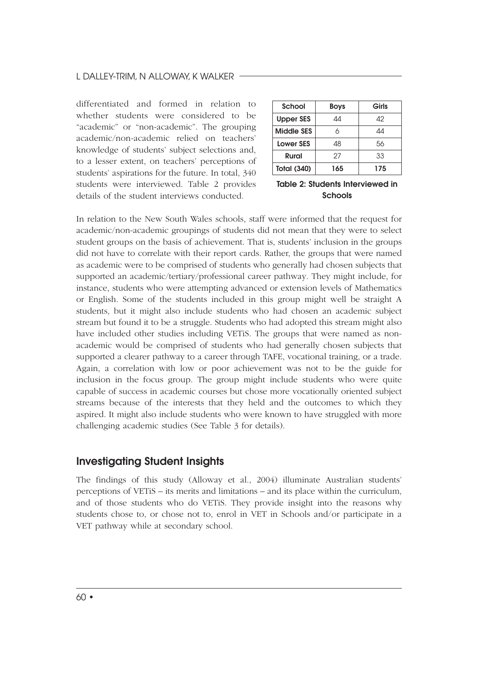#### L DALLEY-TRIM, N ALLOWAY, K WALKER

differentiated and formed in relation to whether students were considered to be "academic" or "non-academic". The grouping academic/non-academic relied on teachers' knowledge of students' subject selections and, to a lesser extent, on teachers' perceptions of students' aspirations for the future. In total, 340 students were interviewed. Table 2 provides details of the student interviews conducted.

| <b>School</b>      | <b>Boys</b> | Girls |
|--------------------|-------------|-------|
| <b>Upper SES</b>   | 44          | Δ2    |
| <b>Middle SES</b>  | 6           | 44    |
| <b>Lower SES</b>   | 48          | 56    |
| Rural              | 27          | 33    |
| <b>Total (340)</b> | 165         | 175   |

Table 2: Students Interviewed in Schools

In relation to the New South Wales schools, staff were informed that the request for academic/non-academic groupings of students did not mean that they were to select student groups on the basis of achievement. That is, students' inclusion in the groups did not have to correlate with their report cards. Rather, the groups that were named as academic were to be comprised of students who generally had chosen subjects that supported an academic/tertiary/professional career pathway. They might include, for instance, students who were attempting advanced or extension levels of Mathematics or English. Some of the students included in this group might well be straight A students, but it might also include students who had chosen an academic subject stream but found it to be a struggle. Students who had adopted this stream might also have included other studies including VETiS. The groups that were named as nonacademic would be comprised of students who had generally chosen subjects that supported a clearer pathway to a career through TAFE, vocational training, or a trade. Again, a correlation with low or poor achievement was not to be the guide for inclusion in the focus group. The group might include students who were quite capable of success in academic courses but chose more vocationally oriented subject streams because of the interests that they held and the outcomes to which they aspired. It might also include students who were known to have struggled with more challenging academic studies (See Table 3 for details).

### Investigating Student Insights

The findings of this study (Alloway et al., 2004) illuminate Australian students' perceptions of VETiS – its merits and limitations – and its place within the curriculum, and of those students who do VETiS. They provide insight into the reasons why students chose to, or chose not to, enrol in VET in Schools and/or participate in a VET pathway while at secondary school.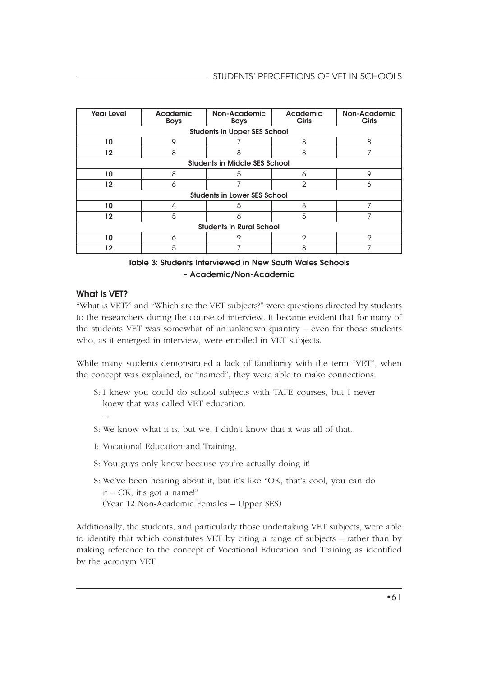| <b>Year Level</b>                    | Academic<br><b>Boys</b>             | Non-Academic<br><b>Boys</b> | Academic<br>Girls | Non-Academic<br>Girls |  |  |  |
|--------------------------------------|-------------------------------------|-----------------------------|-------------------|-----------------------|--|--|--|
|                                      | <b>Students in Upper SES School</b> |                             |                   |                       |  |  |  |
| 10                                   | 9                                   |                             | 8                 | 8                     |  |  |  |
| 12                                   | 8                                   | 8                           | 8                 | 7                     |  |  |  |
| <b>Students in Middle SES School</b> |                                     |                             |                   |                       |  |  |  |
| 10                                   | 8                                   | 5                           | 6                 | 9                     |  |  |  |
| $12 \overline{ }$                    | 6                                   | 7                           | $\overline{2}$    | Λ                     |  |  |  |
| <b>Students in Lower SES School</b>  |                                     |                             |                   |                       |  |  |  |
| 10                                   | 4                                   | 5                           | 8                 |                       |  |  |  |
| $12 \overline{ }$                    | 5                                   | ∩                           | 5                 | 7                     |  |  |  |
| <b>Students in Rural School</b>      |                                     |                             |                   |                       |  |  |  |
| 10                                   | 6                                   | 9                           | 9                 | 9                     |  |  |  |
| 12                                   | 5                                   |                             | 8                 |                       |  |  |  |

#### Table 3: Students Interviewed in New South Wales Schools – Academic/Non-Academic

#### What is VET?

"What is VET?" and "Which are the VET subjects?" were questions directed by students to the researchers during the course of interview. It became evident that for many of the students VET was somewhat of an unknown quantity – even for those students who, as it emerged in interview, were enrolled in VET subjects.

While many students demonstrated a lack of familiarity with the term "VET", when the concept was explained, or "named", they were able to make connections.

- S: I knew you could do school subjects with TAFE courses, but I never knew that was called VET education.
- S: We know what it is, but we, I didn't know that it was all of that.
- I: Vocational Education and Training.
- S: You guys only know because you're actually doing it!
- S: We've been hearing about it, but it's like "OK, that's cool, you can do it – OK, it's got a name!" (Year 12 Non-Academic Females – Upper SES)

Additionally, the students, and particularly those undertaking VET subjects, were able to identify that which constitutes VET by citing a range of subjects – rather than by making reference to the concept of Vocational Education and Training as identified by the acronym VET.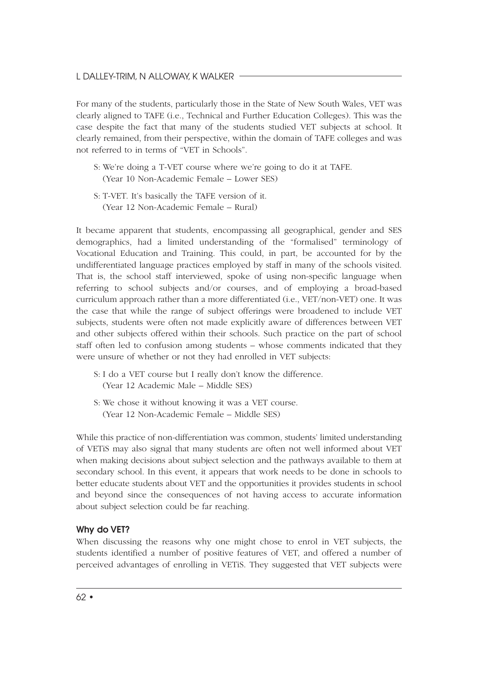For many of the students, particularly those in the State of New South Wales, VET was clearly aligned to TAFE (i.e., Technical and Further Education Colleges). This was the case despite the fact that many of the students studied VET subjects at school. It clearly remained, from their perspective, within the domain of TAFE colleges and was not referred to in terms of "VET in Schools".

- S: We're doing a T-VET course where we're going to do it at TAFE. (Year 10 Non-Academic Female – Lower SES)
- S: T-VET. It's basically the TAFE version of it. (Year 12 Non-Academic Female – Rural)

It became apparent that students, encompassing all geographical, gender and SES demographics, had a limited understanding of the "formalised" terminology of Vocational Education and Training. This could, in part, be accounted for by the undifferentiated language practices employed by staff in many of the schools visited. That is, the school staff interviewed, spoke of using non-specific language when referring to school subjects and/or courses, and of employing a broad-based curriculum approach rather than a more differentiated (i.e., VET/non-VET) one. It was the case that while the range of subject offerings were broadened to include VET subjects, students were often not made explicitly aware of differences between VET and other subjects offered within their schools. Such practice on the part of school staff often led to confusion among students – whose comments indicated that they were unsure of whether or not they had enrolled in VET subjects:

- S: I do a VET course but I really don't know the difference. (Year 12 Academic Male – Middle SES)
- S: We chose it without knowing it was a VET course. (Year 12 Non-Academic Female – Middle SES)

While this practice of non-differentiation was common, students' limited understanding of VETiS may also signal that many students are often not well informed about VET when making decisions about subject selection and the pathways available to them at secondary school. In this event, it appears that work needs to be done in schools to better educate students about VET and the opportunities it provides students in school and beyond since the consequences of not having access to accurate information about subject selection could be far reaching.

#### Why do VET?

When discussing the reasons why one might chose to enrol in VET subjects, the students identified a number of positive features of VET, and offered a number of perceived advantages of enrolling in VETiS. They suggested that VET subjects were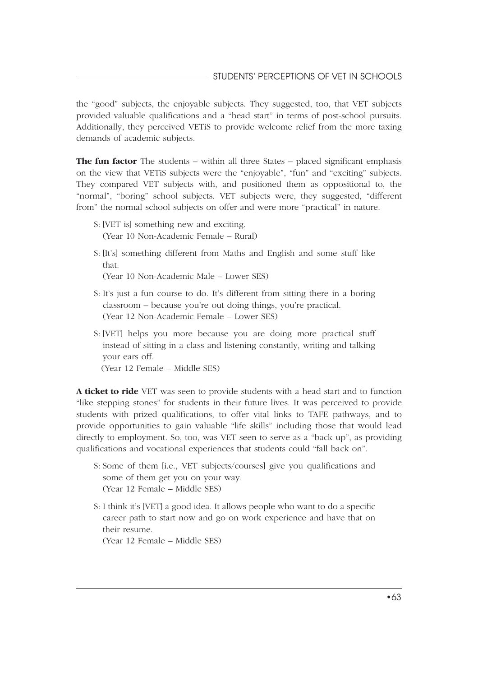the "good" subjects, the enjoyable subjects. They suggested, too, that VET subjects provided valuable qualifications and a "head start" in terms of post-school pursuits. Additionally, they perceived VETiS to provide welcome relief from the more taxing demands of academic subjects.

**The fun factor** The students – within all three States – placed significant emphasis on the view that VETiS subjects were the "enjoyable", "fun" and "exciting" subjects. They compared VET subjects with, and positioned them as oppositional to, the "normal", "boring" school subjects. VET subjects were, they suggested, "different from" the normal school subjects on offer and were more "practical" in nature.

- S: [VET is] something new and exciting. (Year 10 Non-Academic Female – Rural)
- S: [It's] something different from Maths and English and some stuff like that.

(Year 10 Non-Academic Male – Lower SES)

- S: It's just a fun course to do. It's different from sitting there in a boring classroom – because you're out doing things, you're practical. (Year 12 Non-Academic Female – Lower SES)
- S: [VET] helps you more because you are doing more practical stuff instead of sitting in a class and listening constantly, writing and talking your ears off. (Year 12 Female – Middle SES)

**A ticket to ride** VET was seen to provide students with a head start and to function "like stepping stones" for students in their future lives. It was perceived to provide students with prized qualifications, to offer vital links to TAFE pathways, and to provide opportunities to gain valuable "life skills" including those that would lead directly to employment. So, too, was VET seen to serve as a "back up", as providing

qualifications and vocational experiences that students could "fall back on".

- S: Some of them [i.e., VET subjects/courses] give you qualifications and some of them get you on your way. (Year 12 Female – Middle SES)
- S: I think it's [VET] a good idea. It allows people who want to do a specific career path to start now and go on work experience and have that on their resume.

(Year 12 Female – Middle SES)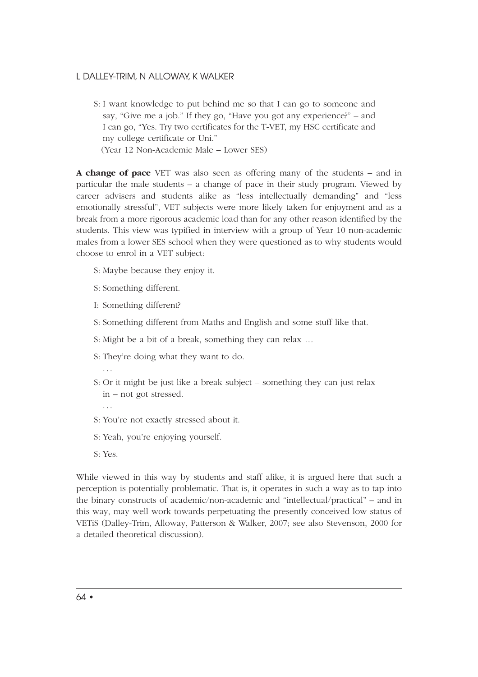#### L DALLEY-TRIM, N ALLOWAY, K WALKER

S: I want knowledge to put behind me so that I can go to someone and say, "Give me a job." If they go, "Have you got any experience?" – and I can go, "Yes. Try two certificates for the T-VET, my HSC certificate and my college certificate or Uni."

(Year 12 Non-Academic Male – Lower SES)

**A change of pace** VET was also seen as offering many of the students – and in particular the male students – a change of pace in their study program. Viewed by career advisers and students alike as "less intellectually demanding" and "less emotionally stressful", VET subjects were more likely taken for enjoyment and as a break from a more rigorous academic load than for any other reason identified by the students. This view was typified in interview with a group of Year 10 non-academic males from a lower SES school when they were questioned as to why students would choose to enrol in a VET subject:

- S: Maybe because they enjoy it.
- S: Something different.
- I: Something different?
- S: Something different from Maths and English and some stuff like that.
- S: Might be a bit of a break, something they can relax …
- S: They're doing what they want to do.
- . . . S: Or it might be just like a break subject – something they can just relax
	- in not got stressed.
	- S: You're not exactly stressed about it.
	- S: Yeah, you're enjoying yourself.
	- S: Yes.

. . .

While viewed in this way by students and staff alike, it is argued here that such a perception is potentially problematic. That is, it operates in such a way as to tap into the binary constructs of academic/non-academic and "intellectual/practical" – and in this way, may well work towards perpetuating the presently conceived low status of VETiS (Dalley-Trim, Alloway, Patterson & Walker, 2007; see also Stevenson, 2000 for a detailed theoretical discussion).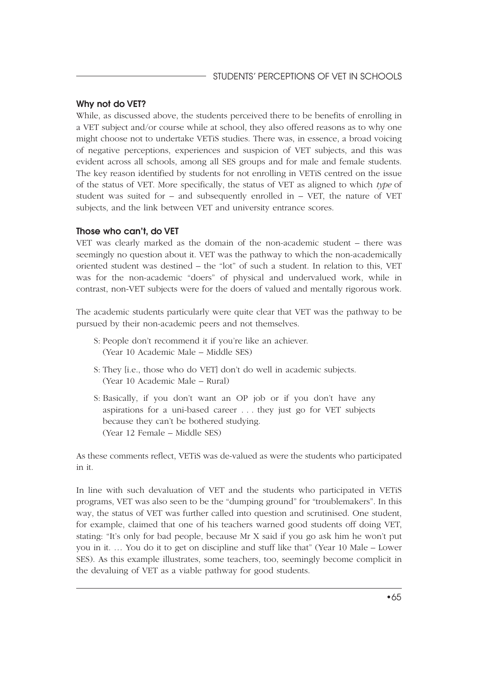#### Why not do VET?

While, as discussed above, the students perceived there to be benefits of enrolling in a VET subject and/or course while at school, they also offered reasons as to why one might choose not to undertake VETiS studies. There was, in essence, a broad voicing of negative perceptions, experiences and suspicion of VET subjects, and this was evident across all schools, among all SES groups and for male and female students. The key reason identified by students for not enrolling in VETiS centred on the issue of the status of VET. More specifically, the status of VET as aligned to which *type* of student was suited for  $-$  and subsequently enrolled in  $-$  VET, the nature of VET subjects, and the link between VET and university entrance scores.

#### Those who can't, do VET

VET was clearly marked as the domain of the non-academic student – there was seemingly no question about it. VET was the pathway to which the non-academically oriented student was destined – the "lot" of such a student. In relation to this, VET was for the non-academic "doers" of physical and undervalued work, while in contrast, non-VET subjects were for the doers of valued and mentally rigorous work.

The academic students particularly were quite clear that VET was the pathway to be pursued by their non-academic peers and not themselves.

- S: People don't recommend it if you're like an achiever. (Year 10 Academic Male – Middle SES)
- S: They [i.e., those who do VET] don't do well in academic subjects. (Year 10 Academic Male – Rural)
- S: Basically, if you don't want an OP job or if you don't have any aspirations for a uni-based career . . . they just go for VET subjects because they can't be bothered studying. (Year 12 Female – Middle SES)

As these comments reflect, VETiS was de-valued as were the students who participated in it.

In line with such devaluation of VET and the students who participated in VETiS programs, VET was also seen to be the "dumping ground" for "troublemakers". In this way, the status of VET was further called into question and scrutinised. One student, for example, claimed that one of his teachers warned good students off doing VET, stating: "It's only for bad people, because Mr X said if you go ask him he won't put you in it. … You do it to get on discipline and stuff like that" (Year 10 Male – Lower SES). As this example illustrates, some teachers, too, seemingly become complicit in the devaluing of VET as a viable pathway for good students.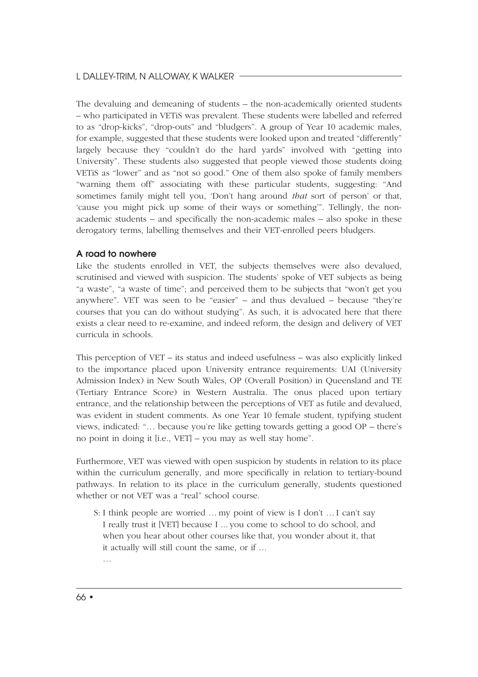The devaluing and demeaning of students – the non-academically oriented students – who participated in VETiS was prevalent. These students were labelled and referred to as "drop-kicks", "drop-outs" and "bludgers". A group of Year 10 academic males, for example, suggested that these students were looked upon and treated "differently" largely because they "couldn't do the hard yards" involved with "getting into University". These students also suggested that people viewed those students doing VETiS as "lower" and as "not so good." One of them also spoke of family members "warning them off" associating with these particular students, suggesting: "And sometimes family might tell you, 'Don't hang around *that* sort of person' or that, 'cause you might pick up some of their ways or something'". Tellingly, the nonacademic students – and specifically the non-academic males – also spoke in these derogatory terms, labelling themselves and their VET-enrolled peers bludgers.

#### A road to nowhere

Like the students enrolled in VET, the subjects themselves were also devalued, scrutinised and viewed with suspicion. The students' spoke of VET subjects as being "a waste", "a waste of time"; and perceived them to be subjects that "won't get you anywhere". VET was seen to be "easier" – and thus devalued – because "they're courses that you can do without studying". As such, it is advocated here that there exists a clear need to re-examine, and indeed reform, the design and delivery of VET curricula in schools.

This perception of VET – its status and indeed usefulness – was also explicitly linked to the importance placed upon University entrance requirements: UAI (University Admission Index) in New South Wales, OP (Overall Position) in Queensland and TE (Tertiary Entrance Score) in Western Australia. The onus placed upon tertiary entrance, and the relationship between the perceptions of VET as futile and devalued, was evident in student comments. As one Year 10 female student, typifying student views, indicated: "… because you're like getting towards getting a good OP – there's no point in doing it [i.e., VET] – you may as well stay home".

Furthermore, VET was viewed with open suspicion by students in relation to its place within the curriculum generally, and more specifically in relation to tertiary-bound pathways. In relation to its place in the curriculum generally, students questioned whether or not VET was a "real" school course.

- S: I think people are worried ... my point of view is I don't ... I can't say I really trust it [VET] because I ... you come to school to do school, and when you hear about other courses like that, you wonder about it, that it actually will still count the same, or if ...
	- …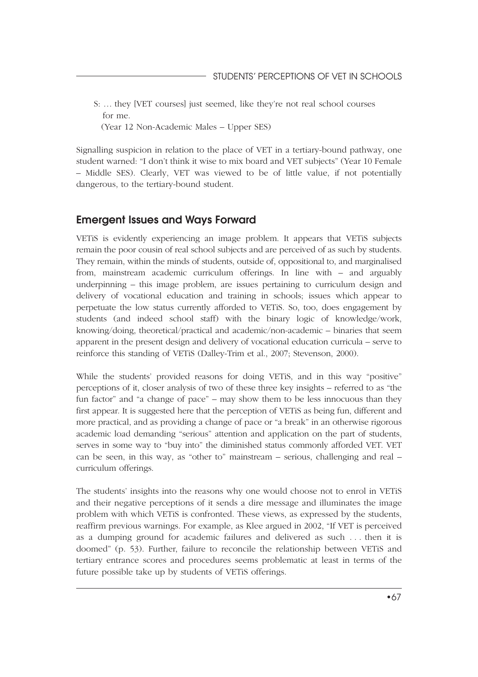S: ... they [VET courses] just seemed, like they're not real school courses for me.

(Year 12 Non-Academic Males – Upper SES)

Signalling suspicion in relation to the place of VET in a tertiary-bound pathway, one student warned: "I don't think it wise to mix board and VET subjects" (Year 10 Female – Middle SES). Clearly, VET was viewed to be of little value, if not potentially dangerous, to the tertiary-bound student.

### Emergent Issues and Ways Forward

VETiS is evidently experiencing an image problem. It appears that VETiS subjects remain the poor cousin of real school subjects and are perceived of as such by students. They remain, within the minds of students, outside of, oppositional to, and marginalised from, mainstream academic curriculum offerings. In line with – and arguably underpinning – this image problem, are issues pertaining to curriculum design and delivery of vocational education and training in schools; issues which appear to perpetuate the low status currently afforded to VETiS. So, too, does engagement by students (and indeed school staff) with the binary logic of knowledge/work, knowing/doing, theoretical/practical and academic/non-academic – binaries that seem apparent in the present design and delivery of vocational education curricula – serve to reinforce this standing of VETiS (Dalley-Trim et al., 2007; Stevenson, 2000).

While the students' provided reasons for doing VETiS, and in this way "positive" perceptions of it, closer analysis of two of these three key insights – referred to as "the fun factor" and "a change of pace" – may show them to be less innocuous than they first appear. It is suggested here that the perception of VETiS as being fun, different and more practical, and as providing a change of pace or "a break" in an otherwise rigorous academic load demanding "serious" attention and application on the part of students, serves in some way to "buy into" the diminished status commonly afforded VET. VET can be seen, in this way, as "other to" mainstream – serious, challenging and real – curriculum offerings.

The students' insights into the reasons why one would choose not to enrol in VETiS and their negative perceptions of it sends a dire message and illuminates the image problem with which VETiS is confronted. These views, as expressed by the students, reaffirm previous warnings. For example, as Klee argued in 2002, "If VET is perceived as a dumping ground for academic failures and delivered as such . . . then it is doomed" (p. 53). Further, failure to reconcile the relationship between VETiS and tertiary entrance scores and procedures seems problematic at least in terms of the future possible take up by students of VETiS offerings.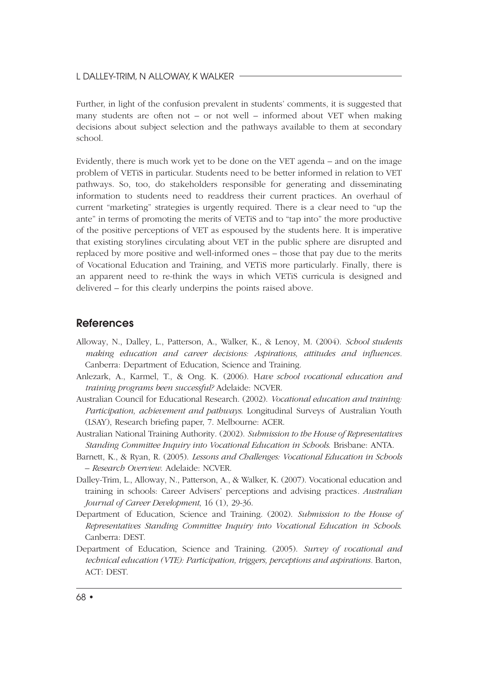#### L DALLEY-TRIM, N ALLOWAY, K WALKER

Further, in light of the confusion prevalent in students' comments, it is suggested that many students are often not – or not well – informed about VET when making decisions about subject selection and the pathways available to them at secondary school.

Evidently, there is much work yet to be done on the VET agenda – and on the image problem of VETiS in particular. Students need to be better informed in relation to VET pathways. So, too, do stakeholders responsible for generating and disseminating information to students need to readdress their current practices. An overhaul of current "marketing" strategies is urgently required. There is a clear need to "up the ante" in terms of promoting the merits of VETiS and to "tap into" the more productive of the positive perceptions of VET as espoused by the students here. It is imperative that existing storylines circulating about VET in the public sphere are disrupted and replaced by more positive and well-informed ones – those that pay due to the merits of Vocational Education and Training, and VETiS more particularly. Finally, there is an apparent need to re-think the ways in which VETiS curricula is designed and delivered – for this clearly underpins the points raised above.

#### **References**

- Alloway, N., Dalley, L., Patterson, A., Walker, K., & Lenoy, M. (2004). *School students making education and career decisions: Aspirations, attitudes and influences.* Canberra: Department of Education, Science and Training.
- Anlezark, A., Karmel, T., & Ong. K. (2006). H*ave school vocational education and training programs been successful?* Adelaide: NCVER.
- Australian Council for Educational Research. (2002). *Vocational education and training: Participation, achievement and pathways*. Longitudinal Surveys of Australian Youth (LSAY), Research briefing paper, 7. Melbourne: ACER.
- Australian National Training Authority. (2002). *Submission to the House of Representatives Standing Committee Inquiry into Vocational Education in Schools*. Brisbane: ANTA.
- Barnett, K., & Ryan, R. (2005). *Lessons and Challenges: Vocational Education in Schools – Research Overview*. Adelaide: NCVER.
- Dalley-Trim, L., Alloway, N., Patterson, A., & Walker, K. (2007). Vocational education and training in schools: Career Advisers' perceptions and advising practices*. Australian Journal of Career Development*, 16 (1), 29-36.
- Department of Education, Science and Training. (2002). *Submission to the House of Representatives Standing Committee Inquiry into Vocational Education in Schools*. Canberra: DEST.
- Department of Education, Science and Training. (2005). *Survey of vocational and technical education (VTE): Participation, triggers, perceptions and aspirations.* Barton, ACT: DEST.